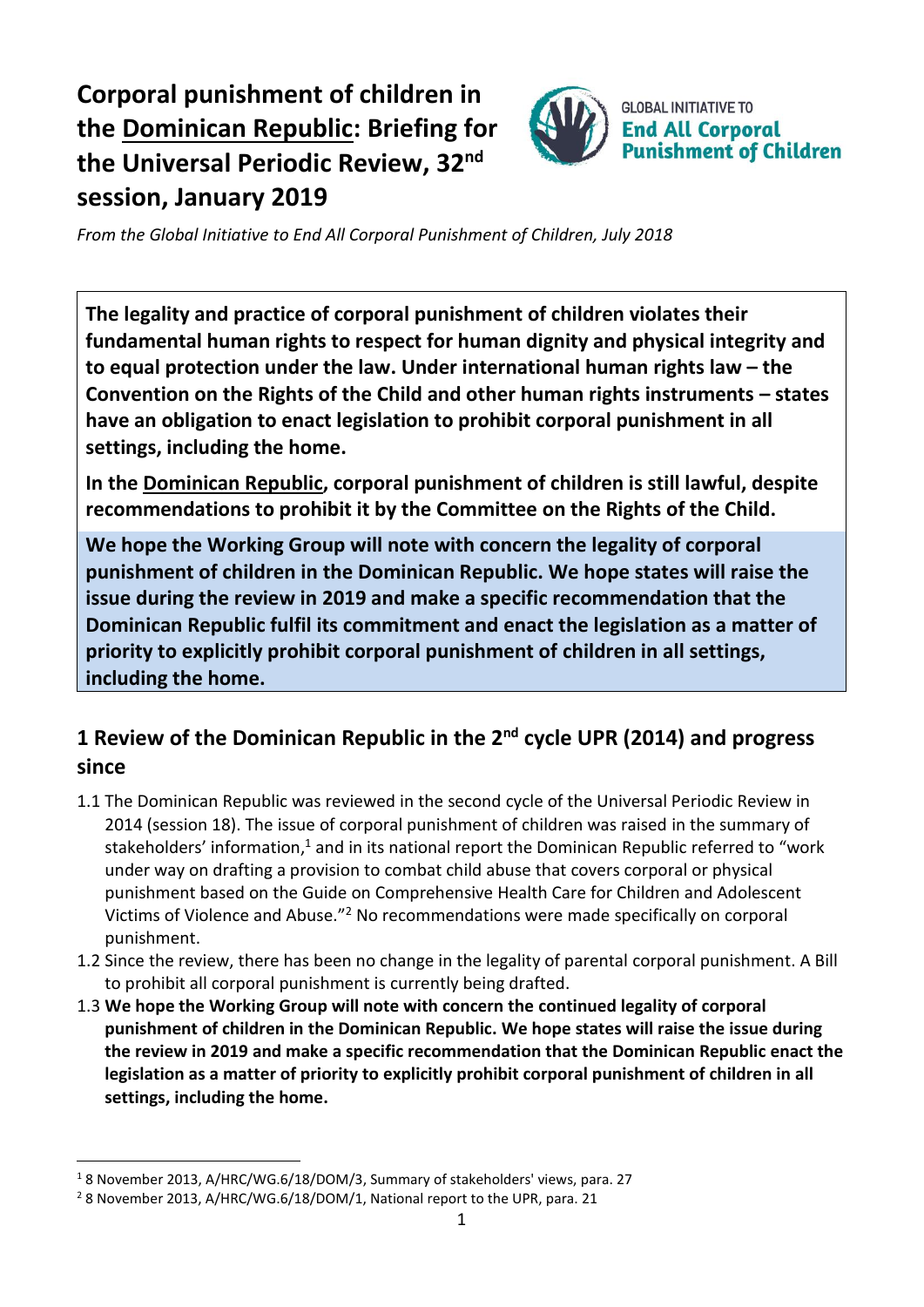# **Corporal punishment of children in the Dominican Republic: Briefing for the Universal Periodic Review, 32 nd session, January 2019**



*From the Global Initiative to End All Corporal Punishment of Children, July 2018*

**The legality and practice of corporal punishment of children violates their fundamental human rights to respect for human dignity and physical integrity and to equal protection under the law. Under international human rights law – the Convention on the Rights of the Child and other human rights instruments – states have an obligation to enact legislation to prohibit corporal punishment in all settings, including the home.**

**In the Dominican Republic, corporal punishment of children is still lawful, despite recommendations to prohibit it by the Committee on the Rights of the Child.**

**We hope the Working Group will note with concern the legality of corporal punishment of children in the Dominican Republic. We hope states will raise the issue during the review in 2019 and make a specific recommendation that the Dominican Republic fulfil its commitment and enact the legislation as a matter of priority to explicitly prohibit corporal punishment of children in all settings, including the home.**

## **1 Review of the Dominican Republic in the 2nd cycle UPR (2014) and progress since**

- 1.1 The Dominican Republic was reviewed in the second cycle of the Universal Periodic Review in 2014 (session 18). The issue of corporal punishment of children was raised in the summary of stakeholders' information,<sup>1</sup> and in its national report the Dominican Republic referred to "work under way on drafting a provision to combat child abuse that covers corporal or physical punishment based on the Guide on Comprehensive Health Care for Children and Adolescent Victims of Violence and Abuse."<sup>2</sup> No recommendations were made specifically on corporal punishment.
- 1.2 Since the review, there has been no change in the legality of parental corporal punishment. A Bill to prohibit all corporal punishment is currently being drafted.
- 1.3 **We hope the Working Group will note with concern the continued legality of corporal punishment of children in the Dominican Republic. We hope states will raise the issue during the review in 2019 and make a specific recommendation that the Dominican Republic enact the legislation as a matter of priority to explicitly prohibit corporal punishment of children in all settings, including the home.**

 $\overline{a}$ 

<sup>1</sup> 8 November 2013, A/HRC/WG.6/18/DOM/3, Summary of stakeholders' views, para. 27

<sup>&</sup>lt;sup>2</sup> 8 November 2013, A/HRC/WG.6/18/DOM/1, National report to the UPR, para. 21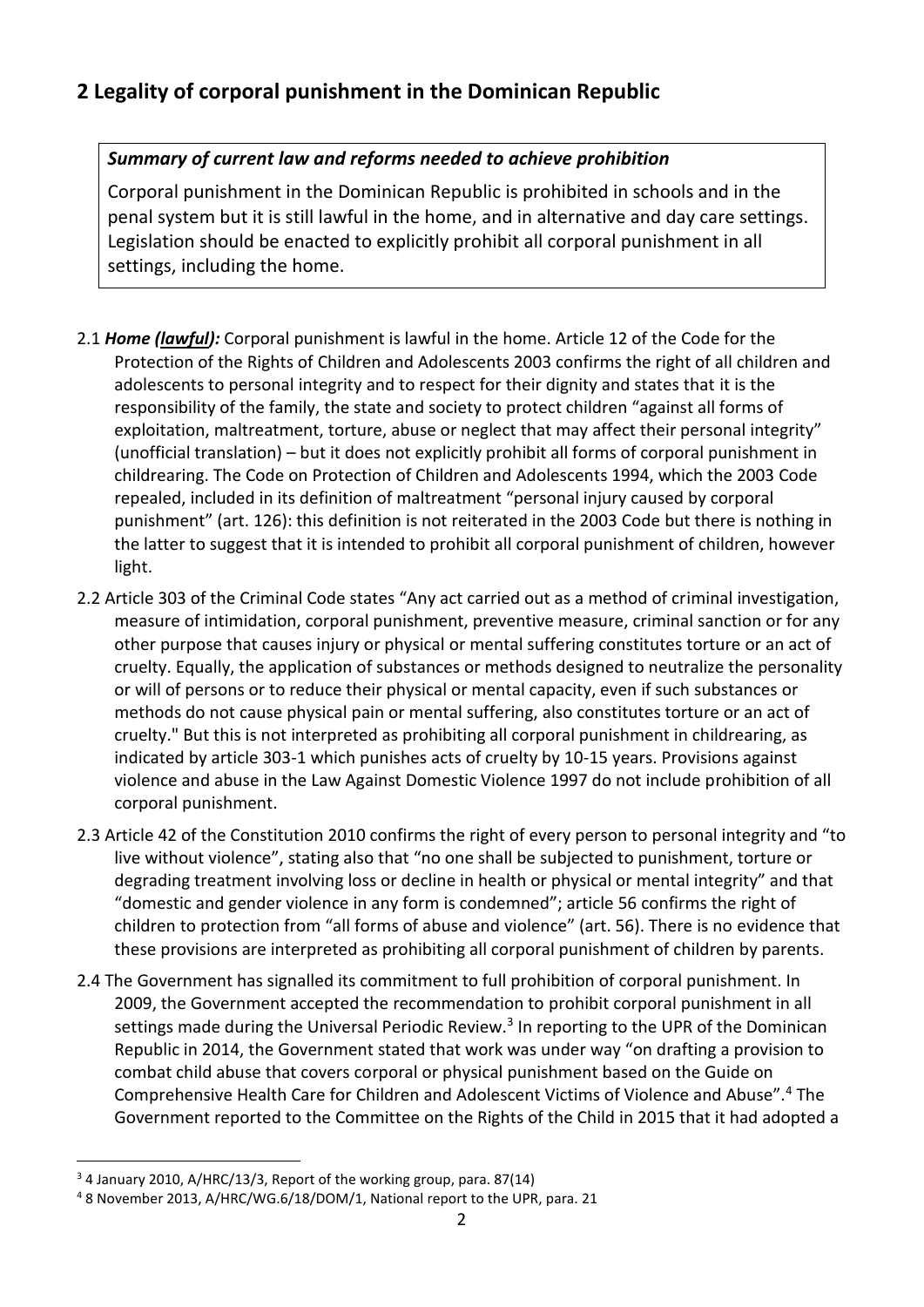### **2 Legality of corporal punishment in the Dominican Republic**

#### *Summary of current law and reforms needed to achieve prohibition*

Corporal punishment in the Dominican Republic is prohibited in schools and in the penal system but it is still lawful in the home, and in alternative and day care settings. Legislation should be enacted to explicitly prohibit all corporal punishment in all settings, including the home.

- 2.1 *Home (lawful):* Corporal punishment is lawful in the home. Article 12 of the Code for the Protection of the Rights of Children and Adolescents 2003 confirms the right of all children and adolescents to personal integrity and to respect for their dignity and states that it is the responsibility of the family, the state and society to protect children "against all forms of exploitation, maltreatment, torture, abuse or neglect that may affect their personal integrity" (unofficial translation) – but it does not explicitly prohibit all forms of corporal punishment in childrearing. The Code on Protection of Children and Adolescents 1994, which the 2003 Code repealed, included in its definition of maltreatment "personal injury caused by corporal punishment" (art. 126): this definition is not reiterated in the 2003 Code but there is nothing in the latter to suggest that it is intended to prohibit all corporal punishment of children, however light.
- 2.2 Article 303 of the Criminal Code states "Any act carried out as a method of criminal investigation, measure of intimidation, corporal punishment, preventive measure, criminal sanction or for any other purpose that causes injury or physical or mental suffering constitutes torture or an act of cruelty. Equally, the application of substances or methods designed to neutralize the personality or will of persons or to reduce their physical or mental capacity, even if such substances or methods do not cause physical pain or mental suffering, also constitutes torture or an act of cruelty." But this is not interpreted as prohibiting all corporal punishment in childrearing, as indicated by article 303-1 which punishes acts of cruelty by 10-15 years. Provisions against violence and abuse in the Law Against Domestic Violence 1997 do not include prohibition of all corporal punishment.
- 2.3 Article 42 of the Constitution 2010 confirms the right of every person to personal integrity and "to live without violence", stating also that "no one shall be subjected to punishment, torture or degrading treatment involving loss or decline in health or physical or mental integrity" and that "domestic and gender violence in any form is condemned"; article 56 confirms the right of children to protection from "all forms of abuse and violence" (art. 56). There is no evidence that these provisions are interpreted as prohibiting all corporal punishment of children by parents.
- 2.4 The Government has signalled its commitment to full prohibition of corporal punishment. In 2009, the Government accepted the recommendation to prohibit corporal punishment in all settings made during the Universal Periodic Review.<sup>3</sup> In reporting to the UPR of the Dominican Republic in 2014, the Government stated that work was under way "on drafting a provision to combat child abuse that covers corporal or physical punishment based on the Guide on Comprehensive Health Care for Children and Adolescent Victims of Violence and Abuse".<sup>4</sup> The Government reported to the Committee on the Rights of the Child in 2015 that it had adopted a

 $\overline{a}$ <sup>3</sup> 4 January 2010, A/HRC/13/3, Report of the working group, para. 87(14)

<sup>4</sup> 8 November 2013, A/HRC/WG.6/18/DOM/1, National report to the UPR, para. 21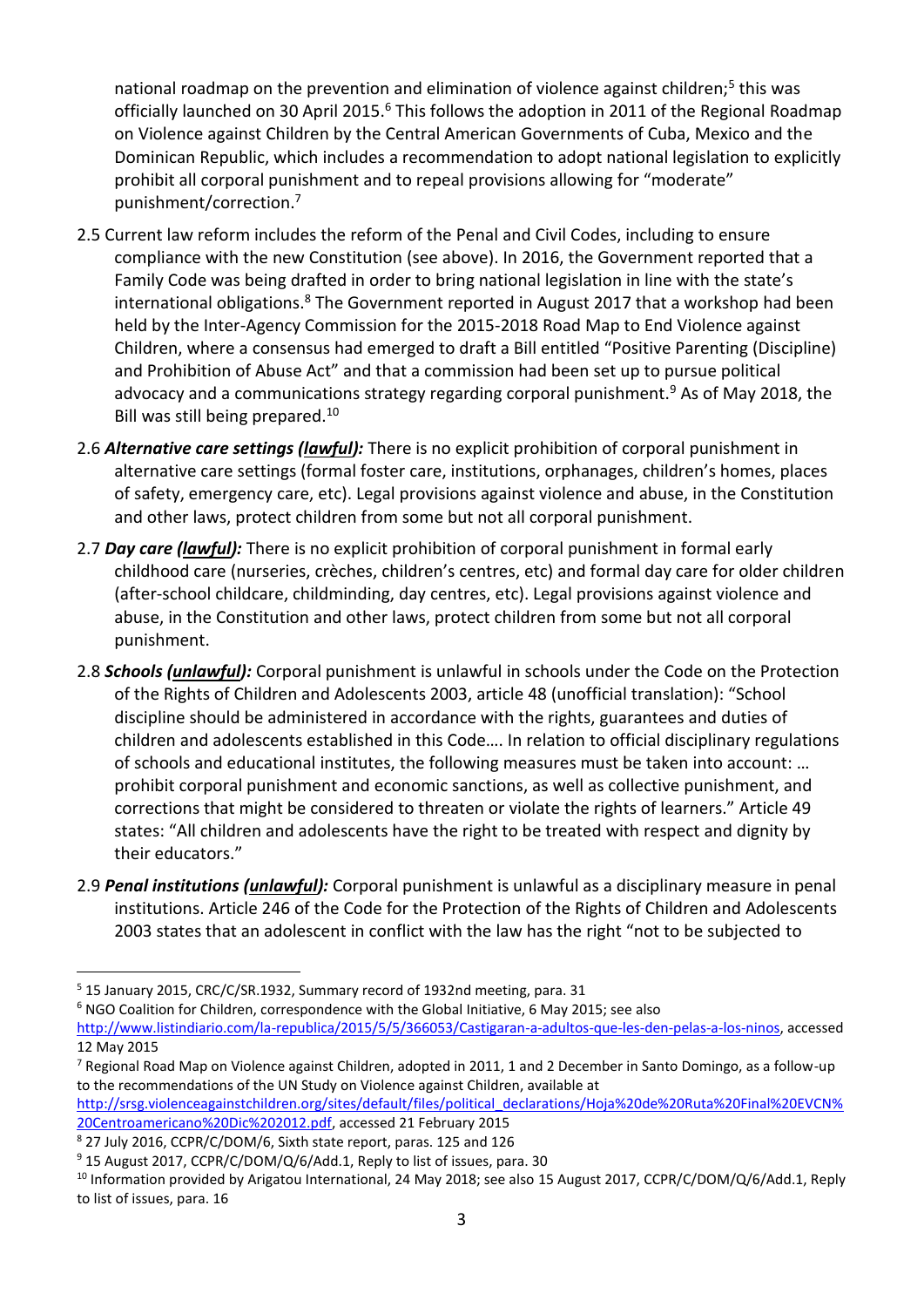national roadmap on the prevention and elimination of violence against children;<sup>5</sup> this was officially launched on 30 April 2015.<sup>6</sup> This follows the adoption in 2011 of the Regional Roadmap on Violence against Children by the Central American Governments of Cuba, Mexico and the Dominican Republic, which includes a recommendation to adopt national legislation to explicitly prohibit all corporal punishment and to repeal provisions allowing for "moderate" punishment/correction.<sup>7</sup>

- 2.5 Current law reform includes the reform of the Penal and Civil Codes, including to ensure compliance with the new Constitution (see above). In 2016, the Government reported that a Family Code was being drafted in order to bring national legislation in line with the state's international obligations. $8$  The Government reported in August 2017 that a workshop had been held by the Inter-Agency Commission for the 2015-2018 Road Map to End Violence against Children, where a consensus had emerged to draft a Bill entitled "Positive Parenting (Discipline) and Prohibition of Abuse Act" and that a commission had been set up to pursue political advocacy and a communications strategy regarding corporal punishment.<sup>9</sup> As of May 2018, the Bill was still being prepared.<sup>10</sup>
- 2.6 *Alternative care settings (lawful):* There is no explicit prohibition of corporal punishment in alternative care settings (formal foster care, institutions, orphanages, children's homes, places of safety, emergency care, etc). Legal provisions against violence and abuse, in the Constitution and other laws, protect children from some but not all corporal punishment.
- 2.7 *Day care (lawful):* There is no explicit prohibition of corporal punishment in formal early childhood care (nurseries, crèches, children's centres, etc) and formal day care for older children (after-school childcare, childminding, day centres, etc). Legal provisions against violence and abuse, in the Constitution and other laws, protect children from some but not all corporal punishment.
- 2.8 *Schools (unlawful):* Corporal punishment is unlawful in schools under the Code on the Protection of the Rights of Children and Adolescents 2003, article 48 (unofficial translation): "School discipline should be administered in accordance with the rights, guarantees and duties of children and adolescents established in this Code…. In relation to official disciplinary regulations of schools and educational institutes, the following measures must be taken into account: … prohibit corporal punishment and economic sanctions, as well as collective punishment, and corrections that might be considered to threaten or violate the rights of learners." Article 49 states: "All children and adolescents have the right to be treated with respect and dignity by their educators."
- 2.9 *Penal institutions (unlawful):* Corporal punishment is unlawful as a disciplinary measure in penal institutions. Article 246 of the Code for the Protection of the Rights of Children and Adolescents 2003 states that an adolescent in conflict with the law has the right "not to be subjected to

<sup>6</sup> NGO Coalition for Children, correspondence with the Global Initiative, 6 May 2015; see also

[http://srsg.violenceagainstchildren.org/sites/default/files/political\\_declarations/Hoja%20de%20Ruta%20Final%20EVCN%](http://srsg.violenceagainstchildren.org/sites/default/files/political_declarations/Hoja%20de%20Ruta%20Final%20EVCN%20Centroamericano%20Dic%202012.pdf) [20Centroamericano%20Dic%202012.pdf,](http://srsg.violenceagainstchildren.org/sites/default/files/political_declarations/Hoja%20de%20Ruta%20Final%20EVCN%20Centroamericano%20Dic%202012.pdf) accessed 21 February 2015

 $\overline{a}$ 

<sup>5</sup> 15 January 2015, CRC/C/SR.1932, Summary record of 1932nd meeting, para. 31

[http://www.listindiario.com/la-republica/2015/5/5/366053/Castigaran-a-adultos-que-les-den-pelas-a-los-ninos,](http://www.listindiario.com/la-republica/2015/5/5/366053/Castigaran-a-adultos-que-les-den-pelas-a-los-ninos) accessed 12 May 2015

 $7$  Regional Road Map on Violence against Children, adopted in 2011, 1 and 2 December in Santo Domingo, as a follow-up to the recommendations of the UN Study on Violence against Children, available at

<sup>8</sup> 27 July 2016, CCPR/C/DOM/6, Sixth state report, paras. 125 and 126

<sup>&</sup>lt;sup>9</sup> 15 August 2017, CCPR/C/DOM/Q/6/Add.1, Reply to list of issues, para. 30

<sup>&</sup>lt;sup>10</sup> Information provided by Arigatou International, 24 May 2018; see also 15 August 2017, CCPR/C/DOM/Q/6/Add.1, Reply to list of issues, para. 16